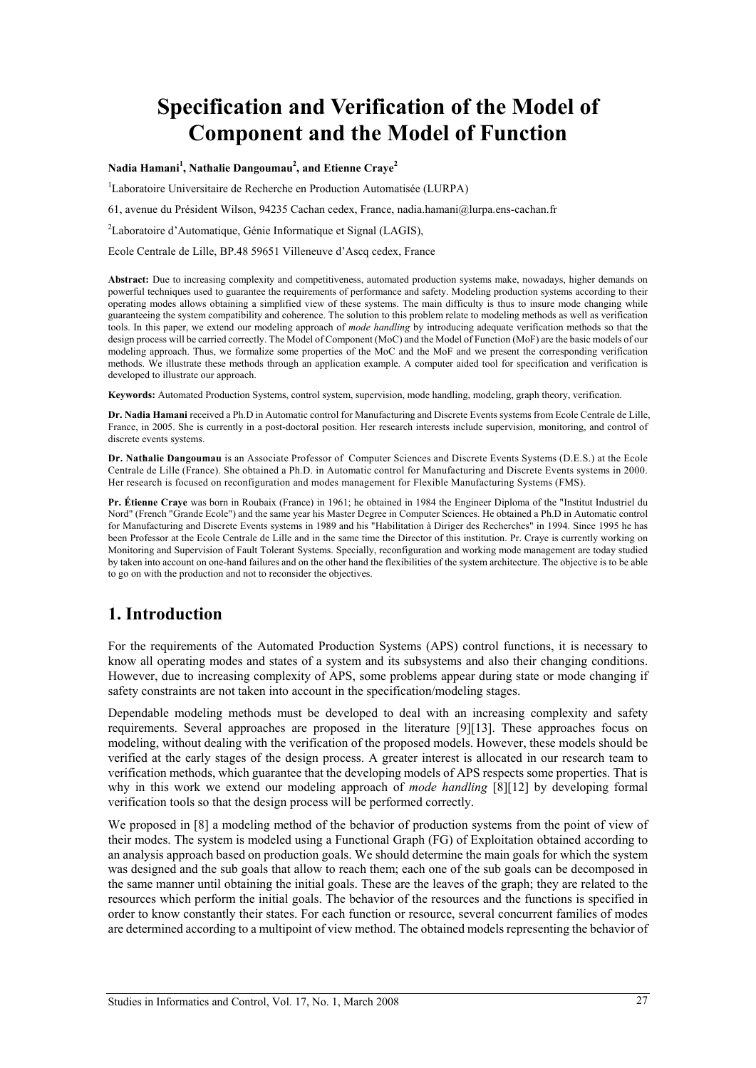# **Specification and Verification of the Model of Component and the Model of Function**

**Nadia Hamani<sup>1</sup> , Nathalie Dangoumau2 , and Etienne Craye<sup>2</sup>**

<sup>1</sup>Laboratoire Universitaire de Recherche en Production Automatisée (LURPA)

61, avenue du Président Wilson, 94235 Cachan cedex, France, nadia.hamani@lurpa.ens-cachan.fr

<sup>2</sup>Laboratoire d'Automatique, Génie Informatique et Signal (LAGIS),

Ecole Centrale de Lille, BP.48 59651 Villeneuve d'Ascq cedex, France

**Abstract:** Due to increasing complexity and competitiveness, automated production systems make, nowadays, higher demands on powerful techniques used to guarantee the requirements of performance and safety. Modeling production systems according to their operating modes allows obtaining a simplified view of these systems. The main difficulty is thus to insure mode changing while guaranteeing the system compatibility and coherence. The solution to this problem relate to modeling methods as well as verification tools. In this paper, we extend our modeling approach of *mode handling* by introducing adequate verification methods so that the design process will be carried correctly. The Model of Component (MoC) and the Model of Function (MoF) are the basic models of our modeling approach. Thus, we formalize some properties of the MoC and the MoF and we present the corresponding verification methods. We illustrate these methods through an application example. A computer aided tool for specification and verification is developed to illustrate our approach.

**Keywords:** Automated Production Systems, control system, supervision, mode handling, modeling, graph theory, verification.

**Dr. Nadia Hamani** received a Ph.D in Automatic control for Manufacturing and Discrete Events systems from Ecole Centrale de Lille, France, in 2005. She is currently in a post-doctoral position. Her research interests include supervision, monitoring, and control of discrete events systems.

**Dr. Nathalie Dangoumau** is an Associate Professor of Computer Sciences and Discrete Events Systems (D.E.S.) at the Ecole Centrale de Lille (France). She obtained a Ph.D. in Automatic control for Manufacturing and Discrete Events systems in 2000. Her research is focused on reconfiguration and modes management for Flexible Manufacturing Systems (FMS).

**Pr. Étienne Craye** was born in Roubaix (France) in 1961; he obtained in 1984 the Engineer Diploma of the "Institut Industriel du Nord" (French "Grande Ecole") and the same year his Master Degree in Computer Sciences. He obtained a Ph.D in Automatic control for Manufacturing and Discrete Events systems in 1989 and his "Habilitation à Diriger des Recherches" in 1994. Since 1995 he has been Professor at the Ecole Centrale de Lille and in the same time the Director of this institution. Pr. Craye is currently working on Monitoring and Supervision of Fault Tolerant Systems. Specially, reconfiguration and working mode management are today studied by taken into account on one-hand failures and on the other hand the flexibilities of the system architecture. The objective is to be able to go on with the production and not to reconsider the objectives.

# **1. Introduction**

For the requirements of the Automated Production Systems (APS) control functions, it is necessary to know all operating modes and states of a system and its subsystems and also their changing conditions. However, due to increasing complexity of APS, some problems appear during state or mode changing if safety constraints are not taken into account in the specification/modeling stages.

Dependable modeling methods must be developed to deal with an increasing complexity and safety requirements. Several approaches are proposed in the literature [9][13]. These approaches focus on modeling, without dealing with the verification of the proposed models. However, these models should be verified at the early stages of the design process. A greater interest is allocated in our research team to verification methods, which guarantee that the developing models of APS respects some properties. That is why in this work we extend our modeling approach of *mode handling* [8][12] by developing formal verification tools so that the design process will be performed correctly.

We proposed in [8] a modeling method of the behavior of production systems from the point of view of their modes. The system is modeled using a Functional Graph (FG) of Exploitation obtained according to an analysis approach based on production goals. We should determine the main goals for which the system was designed and the sub goals that allow to reach them; each one of the sub goals can be decomposed in the same manner until obtaining the initial goals. These are the leaves of the graph; they are related to the resources which perform the initial goals. The behavior of the resources and the functions is specified in order to know constantly their states. For each function or resource, several concurrent families of modes are determined according to a multipoint of view method. The obtained models representing the behavior of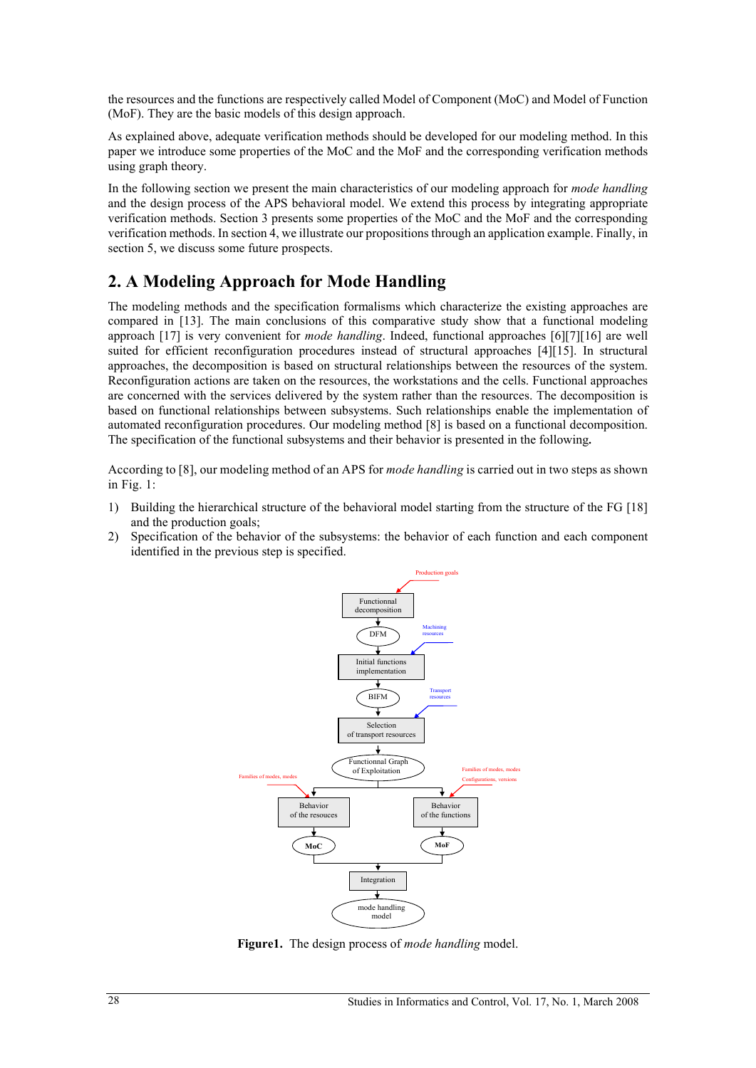the resources and the functions are respectively called Model of Component (MoC) and Model of Function (MoF). They are the basic models of this design approach.

As explained above, adequate verification methods should be developed for our modeling method. In this paper we introduce some properties of the MoC and the MoF and the corresponding verification methods using graph theory.

In the following section we present the main characteristics of our modeling approach for *mode handling* and the design process of the APS behavioral model. We extend this process by integrating appropriate verification methods. Section 3 presents some properties of the MoC and the MoF and the corresponding verification methods. In section 4, we illustrate our propositions through an application example. Finally, in section 5, we discuss some future prospects.

# **2. A Modeling Approach for Mode Handling**

The modeling methods and the specification formalisms which characterize the existing approaches are compared in [13]. The main conclusions of this comparative study show that a functional modeling approach [17] is very convenient for *mode handling*. Indeed, functional approaches [6][7][16] are well suited for efficient reconfiguration procedures instead of structural approaches [4][15]. In structural approaches, the decomposition is based on structural relationships between the resources of the system. Reconfiguration actions are taken on the resources, the workstations and the cells. Functional approaches are concerned with the services delivered by the system rather than the resources. The decomposition is based on functional relationships between subsystems. Such relationships enable the implementation of automated reconfiguration procedures. Our modeling method [8] is based on a functional decomposition. The specification of the functional subsystems and their behavior is presented in the following**.**

According to [8], our modeling method of an APS for *mode handling* is carried out in two steps as shown in Fig. 1:

- 1) Building the hierarchical structure of the behavioral model starting from the structure of the FG [18] and the production goals;
- 2) Specification of the behavior of the subsystems: the behavior of each function and each component identified in the previous step is specified.



**Figure1.** The design process of *mode handling* model.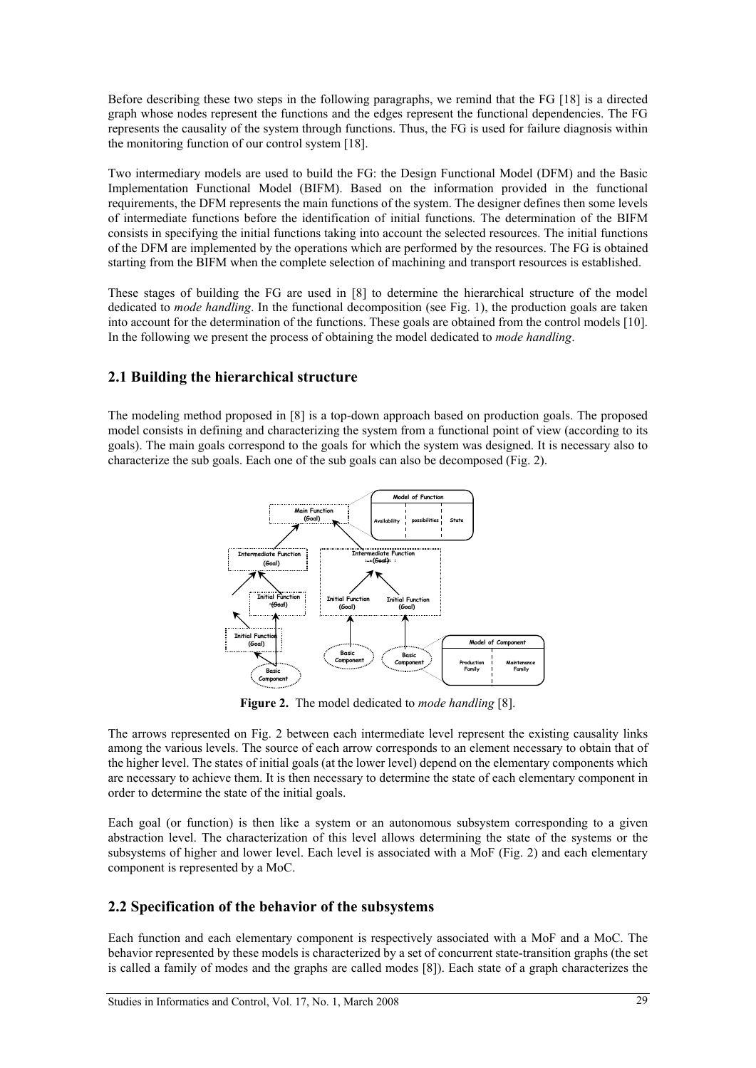Before describing these two steps in the following paragraphs, we remind that the FG [18] is a directed graph whose nodes represent the functions and the edges represent the functional dependencies. The FG represents the causality of the system through functions. Thus, the FG is used for failure diagnosis within the monitoring function of our control system [18].

Two intermediary models are used to build the FG: the Design Functional Model (DFM) and the Basic Implementation Functional Model (BIFM). Based on the information provided in the functional requirements, the DFM represents the main functions of the system. The designer defines then some levels of intermediate functions before the identification of initial functions. The determination of the BIFM consists in specifying the initial functions taking into account the selected resources. The initial functions of the DFM are implemented by the operations which are performed by the resources. The FG is obtained starting from the BIFM when the complete selection of machining and transport resources is established.

These stages of building the FG are used in [8] to determine the hierarchical structure of the model dedicated to *mode handling*. In the functional decomposition (see Fig. 1), the production goals are taken into account for the determination of the functions. These goals are obtained from the control models [10]. In the following we present the process of obtaining the model dedicated to *mode handling*.

### **2.1 Building the hierarchical structure**

The modeling method proposed in [8] is a top-down approach based on production goals. The proposed model consists in defining and characterizing the system from a functional point of view (according to its goals). The main goals correspond to the goals for which the system was designed. It is necessary also to characterize the sub goals. Each one of the sub goals can also be decomposed (Fig. 2).



**Figure 2.** The model dedicated to *mode handling* [8].

The arrows represented on Fig. 2 between each intermediate level represent the existing causality links among the various levels. The source of each arrow corresponds to an element necessary to obtain that of the higher level. The states of initial goals (at the lower level) depend on the elementary components which are necessary to achieve them. It is then necessary to determine the state of each elementary component in order to determine the state of the initial goals.

Each goal (or function) is then like a system or an autonomous subsystem corresponding to a given abstraction level. The characterization of this level allows determining the state of the systems or the subsystems of higher and lower level. Each level is associated with a MoF (Fig. 2) and each elementary component is represented by a MoC.

### **2.2 Specification of the behavior of the subsystems**

Each function and each elementary component is respectively associated with a MoF and a MoC. The behavior represented by these models is characterized by a set of concurrent state-transition graphs (the set is called a family of modes and the graphs are called modes [8]). Each state of a graph characterizes the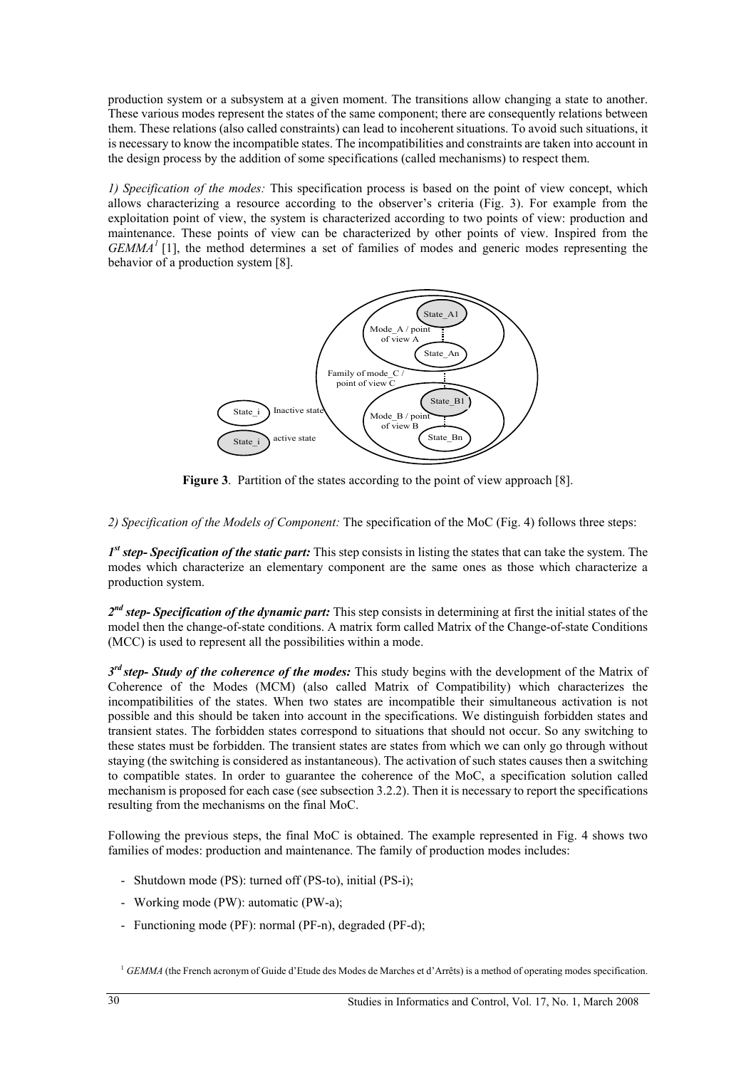production system or a subsystem at a given moment. The transitions allow changing a state to another. These various modes represent the states of the same component; there are consequently relations between them. These relations (also called constraints) can lead to incoherent situations. To avoid such situations, it is necessary to know the incompatible states. The incompatibilities and constraints are taken into account in the design process by the addition of some specifications (called mechanisms) to respect them.

*1) Specification of the modes:* This specification process is based on the point of view concept, which allows characterizing a resource according to the observer's criteria (Fig. 3). For example from the exploitation point of view, the system is characterized according to two points of view: production and maintenance. These points of view can be characterized by other points of view. Inspired from the *GEMMA<sup>1</sup>* [1], the method determines a set of families of modes and generic modes representing the behavior of a production system [8].



**Figure 3**. Partition of the states according to the point of view approach [8].

*2) Specification of the Models of Component:* The specification of the MoC (Fig. 4) follows three steps:

*1st step- Specification of the static part:* This step consists in listing the states that can take the system. The modes which characterize an elementary component are the same ones as those which characterize a production system.

*2nd step- Specification of the dynamic part:* This step consists in determining at first the initial states of the model then the change-of-state conditions. A matrix form called Matrix of the Change-of-state Conditions (MCC) is used to represent all the possibilities within a mode.

*3rd step- Study of the coherence of the modes:* This study begins with the development of the Matrix of Coherence of the Modes (MCM) (also called Matrix of Compatibility) which characterizes the incompatibilities of the states. When two states are incompatible their simultaneous activation is not possible and this should be taken into account in the specifications. We distinguish forbidden states and transient states. The forbidden states correspond to situations that should not occur. So any switching to these states must be forbidden. The transient states are states from which we can only go through without staying (the switching is considered as instantaneous). The activation of such states causes then a switching to compatible states. In order to guarantee the coherence of the MoC, a specification solution called mechanism is proposed for each case (see subsection 3.2.2). Then it is necessary to report the specifications resulting from the mechanisms on the final MoC.

Following the previous steps, the final MoC is obtained. The example represented in Fig. 4 shows two families of modes: production and maintenance. The family of production modes includes:

- Shutdown mode (PS): turned off (PS-to), initial (PS-i);
- Working mode (PW): automatic (PW-a);
- Functioning mode (PF): normal (PF-n), degraded (PF-d);

<sup>1</sup> *GEMMA* (the French acronym of Guide d'Etude des Modes de Marches et d'Arrêts) is a method of operating modes specification.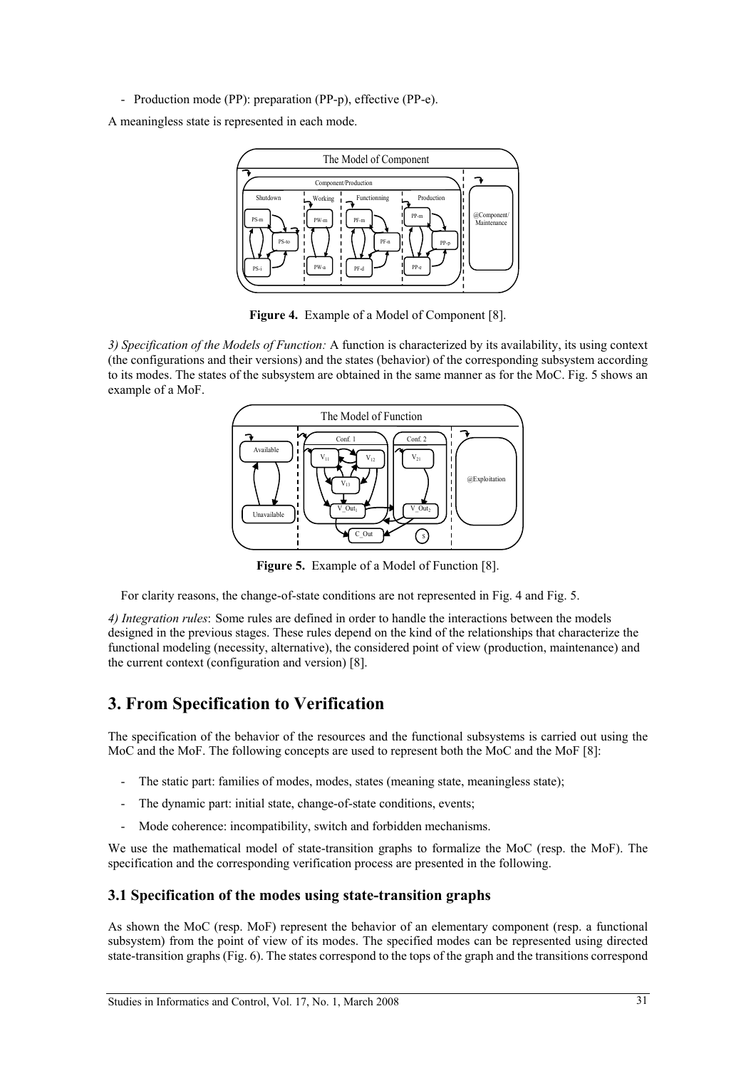- Production mode (PP): preparation (PP-p), effective (PP-e).

A meaningless state is represented in each mode.



**Figure 4.** Example of a Model of Component [8].

*3) Specification of the Models of Function:* A function is characterized by its availability, its using context (the configurations and their versions) and the states (behavior) of the corresponding subsystem according to its modes. The states of the subsystem are obtained in the same manner as for the MoC. Fig. 5 shows an example of a MoF.



**Figure 5.** Example of a Model of Function [8].

For clarity reasons, the change-of-state conditions are not represented in Fig. 4 and Fig. 5.

*4) Integration rules*: Some rules are defined in order to handle the interactions between the models designed in the previous stages. These rules depend on the kind of the relationships that characterize the functional modeling (necessity, alternative), the considered point of view (production, maintenance) and the current context (configuration and version) [8].

# **3. From Specification to Verification**

The specification of the behavior of the resources and the functional subsystems is carried out using the MoC and the MoF. The following concepts are used to represent both the MoC and the MoF [8]:

- The static part: families of modes, modes, states (meaning state, meaningless state);
- The dynamic part: initial state, change-of-state conditions, events;
- Mode coherence: incompatibility, switch and forbidden mechanisms.

We use the mathematical model of state-transition graphs to formalize the MoC (resp. the MoF). The specification and the corresponding verification process are presented in the following.

### **3.1 Specification of the modes using state-transition graphs**

As shown the MoC (resp. MoF) represent the behavior of an elementary component (resp. a functional subsystem) from the point of view of its modes. The specified modes can be represented using directed state-transition graphs (Fig. 6). The states correspond to the tops of the graph and the transitions correspond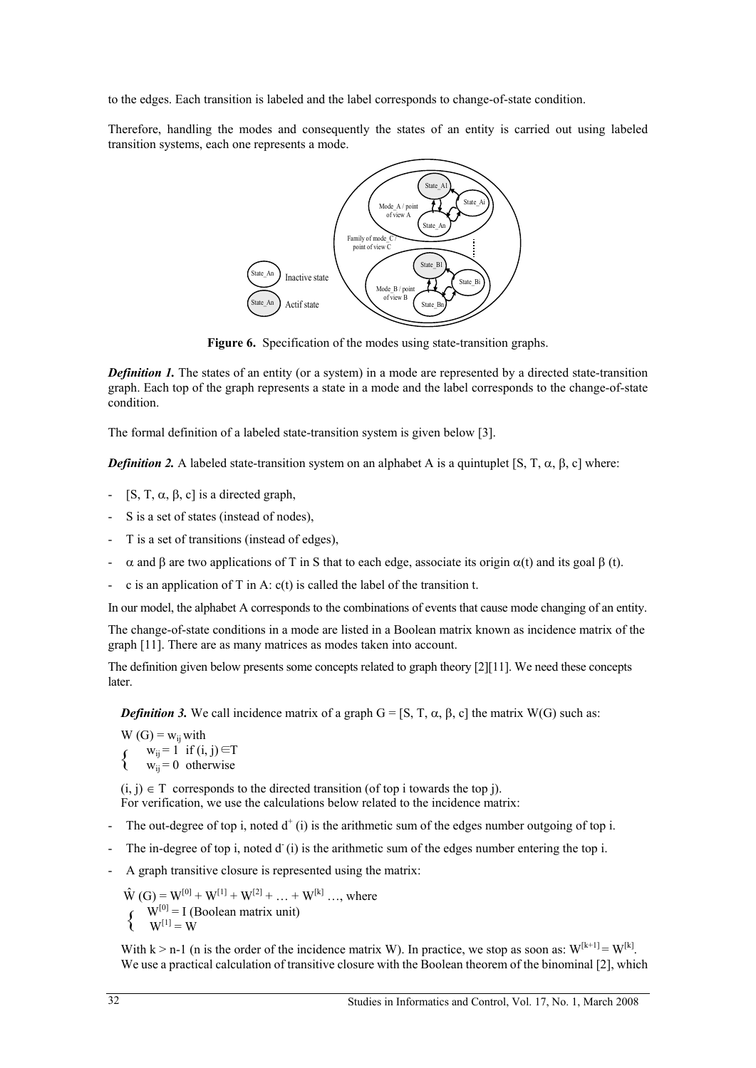to the edges. Each transition is labeled and the label corresponds to change-of-state condition.

Therefore, handling the modes and consequently the states of an entity is carried out using labeled transition systems, each one represents a mode.



**Figure 6.** Specification of the modes using state-transition graphs.

*Definition 1.* The states of an entity (or a system) in a mode are represented by a directed state-transition graph. Each top of the graph represents a state in a mode and the label corresponds to the change-of-state condition.

The formal definition of a labeled state-transition system is given below [3].

*Definition 2.* A labeled state-transition system on an alphabet A is a quintuplet [S, T,  $\alpha$ ,  $\beta$ , c] where:

- $[S, T, \alpha, \beta, c]$  is a directed graph,
- S is a set of states (instead of nodes),
- T is a set of transitions (instead of edges),
- $\alpha$  and  $\beta$  are two applications of T in S that to each edge, associate its origin  $\alpha(t)$  and its goal  $\beta(t)$ .
- c is an application of T in A: c(t) is called the label of the transition t.

In our model, the alphabet A corresponds to the combinations of events that cause mode changing of an entity.

The change-of-state conditions in a mode are listed in a Boolean matrix known as incidence matrix of the graph [11]. There are as many matrices as modes taken into account.

The definition given below presents some concepts related to graph theory [2][11]. We need these concepts later.

*Definition 3.* We call incidence matrix of a graph  $G = [S, T, \alpha, \beta, c]$  the matrix W(G) such as:

 $\{$  $W(G) = w_{ij}$  with  $w_{ii} = 1$  if  $(i, j) \in T$  $w_{ii} = 0$  otherwise

 $(i, j) \in T$  corresponds to the directed transition (of top i towards the top j). For verification, we use the calculations below related to the incidence matrix:

- The out-degree of top i, noted  $d^+(i)$  is the arithmetic sum of the edges number outgoing of top i.
- The in-degree of top i, noted  $d^r(i)$  is the arithmetic sum of the edges number entering the top i.
- A graph transitive closure is represented using the matrix:

 $\{$  $\hat{W}$  (G) =  $W^{[0]} + W^{[1]} + W^{[2]} + ... + W^{[k]}$  ..., where  $W^{[0]} = I$  (Boolean matrix unit)  $W^{[1]} = W$ 

With  $k > n-1$  (n is the order of the incidence matrix W). In practice, we stop as soon as:  $W^{[k+1]} = W^{[k]}$ . We use a practical calculation of transitive closure with the Boolean theorem of the binominal [2], which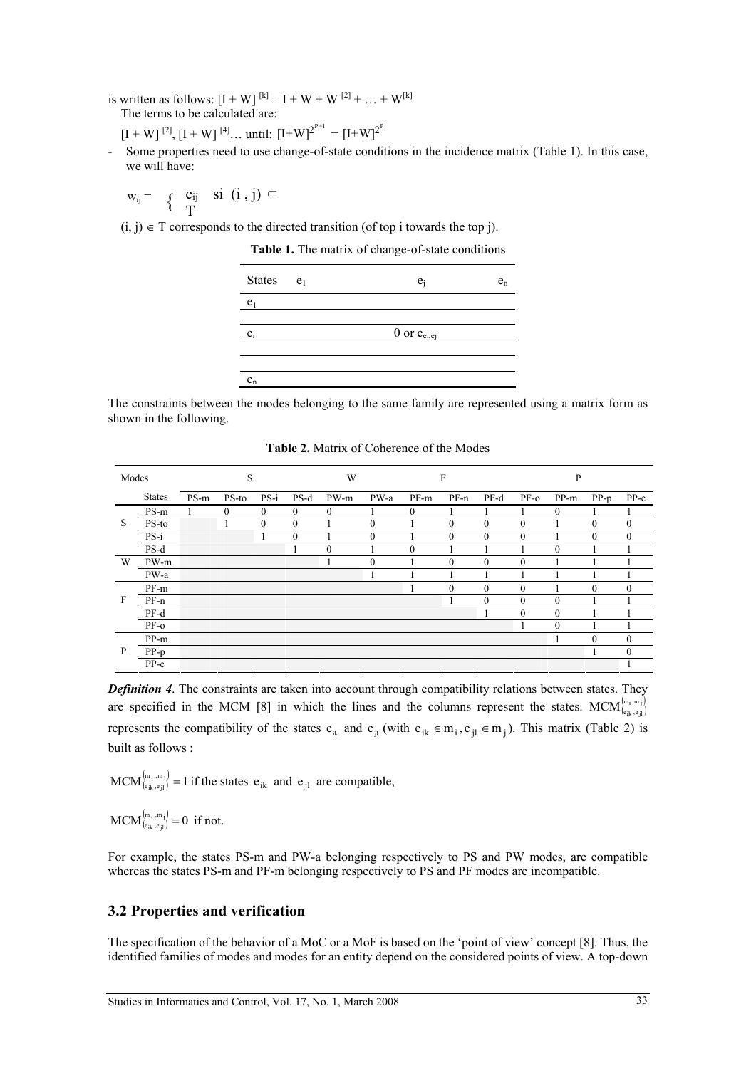is written as follows:  $[I + W]^{[k]} = I + W + W^{[2]} + ... + W^{[k]}$ The terms to be calculated are:

$$
[I + W]^{[2]}
$$
,  $[I + W]^{[4]}$ ... until:  $[I + W]^{2^{p+1}} = [I + W]^{2^p}$ 

Some properties need to use change-of-state conditions in the incidence matrix (Table 1). In this case, we will have:

$$
w_{ij} = \left\{ \begin{array}{ll} c_{ij} & si \ (i \ , j) \in \\ T \end{array} \right.
$$

 $(i, j) \in T$  corresponds to the directed transition (of top i towards the top j).

**Table 1.** The matrix of change-of-state conditions



The constraints between the modes belonging to the same family are represented using a matrix form as shown in the following.

**Table 2.** Matrix of Coherence of the Modes

| Modes |               |      | S       |                |                  | W            |              |              | $\mathbf{F}$ |              |              | P                |          |              |
|-------|---------------|------|---------|----------------|------------------|--------------|--------------|--------------|--------------|--------------|--------------|------------------|----------|--------------|
|       | <b>States</b> | PS-m | $PS-to$ | $PS-i$         | $PS-d$           | PW-m         | PW-a         | $PF-m$       | $PF-n$       | $PF-d$       | $PF-O$       | PP-m             | $PP-p$   | $PP-e$       |
|       | PS-m          |      | 0       | $\overline{0}$ | $\boldsymbol{0}$ | 0            |              | $\mathbf{0}$ |              |              |              | $\boldsymbol{0}$ |          |              |
| S     | PS-to         |      |         | $\mathbf{0}$   | $\mathbf{0}$     |              | $\mathbf{0}$ |              | $\mathbf{0}$ | $\mathbf{0}$ | $\Omega$     |                  | $\Omega$ | $\mathbf{0}$ |
|       | $PS-i$        |      |         |                | $\mathbf{0}$     |              | $\mathbf{0}$ |              | $\mathbf{0}$ | $\mathbf{0}$ | $\theta$     |                  | $\theta$ | $\mathbf{0}$ |
|       | $PS-d$        |      |         |                |                  | $\mathbf{0}$ |              | $\theta$     |              |              |              | $\mathbf{0}$     |          |              |
| W     | PW-m          |      |         |                |                  | 1            | $\mathbf{0}$ |              | $\theta$     | $\mathbf{0}$ | $\theta$     |                  |          |              |
|       | PW-a          |      |         |                |                  |              |              |              |              |              |              |                  |          |              |
|       | PF-m          |      |         |                |                  |              |              |              | $\theta$     | $\theta$     | $\theta$     |                  | $\theta$ | $\theta$     |
| F     | $PF-n$        |      |         |                |                  |              |              |              |              | $\mathbf{0}$ | $\Omega$     | $\mathbf{0}$     |          |              |
|       | PF-d          |      |         |                |                  |              |              |              |              |              | $\mathbf{0}$ | $\mathbf{0}$     |          |              |
|       | $PF-O$        |      |         |                |                  |              |              |              |              |              |              | $\mathbf{0}$     |          |              |
|       | PP-m          |      |         |                |                  |              |              |              |              |              |              |                  | $\Omega$ | 0            |
| P     | $PP-p$        |      |         |                |                  |              |              |              |              |              |              |                  |          | $\mathbf{0}$ |
|       | $PP-e$        |      |         |                |                  |              |              |              |              |              |              |                  |          |              |

*Definition 4*. The constraints are taken into account through compatibility relations between states. They are specified in the MCM [8] in which the lines and the columns represent the states. MCM $_{\binom{m_i, m_j}{e_{ik}, e_{jl}}}$ represents the compatibility of the states  $e_{ik}$  and  $e_{il}$  (with  $e_{ik} \in m_i$ ,  $e_{il} \in m_j$ ). This matrix (Table 2) is built as follows :

MCM  $\binom{[m_1, m_j]}{e_{ik}, e_{jl}} = 1$  if the states  $e_{ik}$  and  $e_{jl}$  are compatible,

 $MCM_{(e_{ik}, e_{jl})}^{(m_i, m_j)} = 0$  if not.

For example, the states PS-m and PW-a belonging respectively to PS and PW modes, are compatible whereas the states PS-m and PF-m belonging respectively to PS and PF modes are incompatible.

### **3.2 Properties and verification**

The specification of the behavior of a MoC or a MoF is based on the 'point of view' concept [8]. Thus, the identified families of modes and modes for an entity depend on the considered points of view. A top-down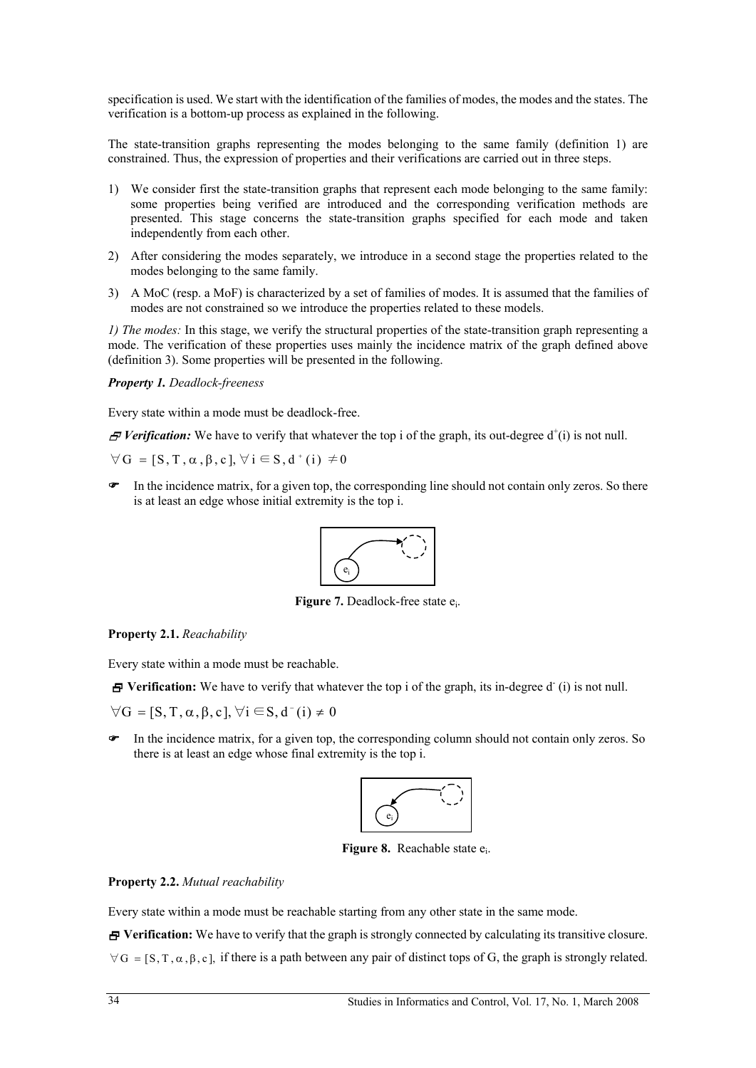specification is used. We start with the identification of the families of modes, the modes and the states. The verification is a bottom-up process as explained in the following.

The state-transition graphs representing the modes belonging to the same family (definition 1) are constrained. Thus, the expression of properties and their verifications are carried out in three steps.

- 1) We consider first the state-transition graphs that represent each mode belonging to the same family: some properties being verified are introduced and the corresponding verification methods are presented. This stage concerns the state-transition graphs specified for each mode and taken independently from each other.
- 2) After considering the modes separately, we introduce in a second stage the properties related to the modes belonging to the same family.
- 3) A MoC (resp. a MoF) is characterized by a set of families of modes. It is assumed that the families of modes are not constrained so we introduce the properties related to these models.

*1) The modes:* In this stage, we verify the structural properties of the state-transition graph representing a mode. The verification of these properties uses mainly the incidence matrix of the graph defined above (definition 3). Some properties will be presented in the following.

#### *Property 1. Deadlock-freeness*

Every state within a mode must be deadlock-free.

 $\mathcal F$  Verification: We have to verify that whatever the top i of the graph, its out-degree  $d^+(i)$  is not null.

 $\forall G = [S, T, \alpha, \beta, c], \forall i \in S, d^*(i) \neq 0$ 

 In the incidence matrix, for a given top, the corresponding line should not contain only zeros. So there is at least an edge whose initial extremity is the top i.



**Figure 7.** Deadlock-free state e.

**Property 2.1.** *Reachability*

Every state within a mode must be reachable.

**F** Verification: We have to verify that whatever the top i of the graph, its in-degree d (i) is not null.

 $\forall G = [S, T, \alpha, \beta, c], \forall i \in S, d^-(i) \neq 0$ 

 In the incidence matrix, for a given top, the corresponding column should not contain only zeros. So there is at least an edge whose final extremity is the top i.



**Figure 8.** Reachable state  $e_i$ .

#### **Property 2.2.** *Mutual reachability*

Every state within a mode must be reachable starting from any other state in the same mode.

 $\overline{P}$  **Verification:** We have to verify that the graph is strongly connected by calculating its transitive closure.  $\forall G = [S, T, \alpha, \beta, c]$ , if there is a path between any pair of distinct tops of G, the graph is strongly related.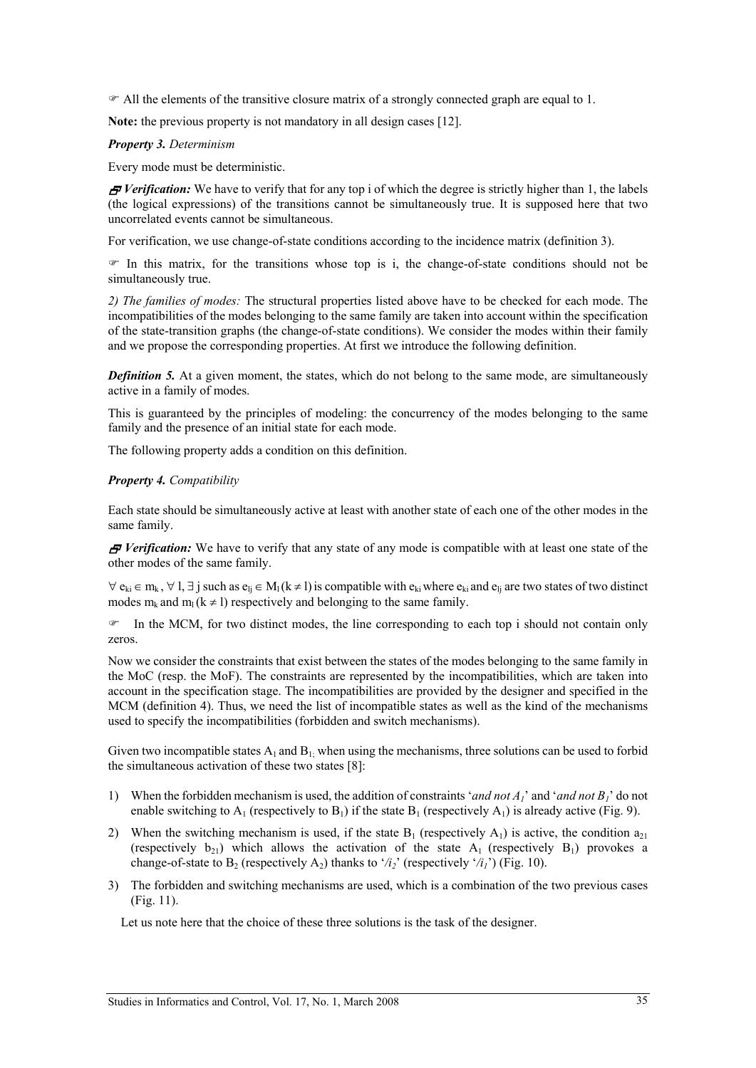$\mathcal F$  All the elements of the transitive closure matrix of a strongly connected graph are equal to 1.

**Note:** the previous property is not mandatory in all design cases [12].

#### *Property 3. Determinism*

Every mode must be deterministic.

*F* Verification: We have to verify that for any top i of which the degree is strictly higher than 1, the labels (the logical expressions) of the transitions cannot be simultaneously true. It is supposed here that two uncorrelated events cannot be simultaneous.

For verification, we use change-of-state conditions according to the incidence matrix (definition 3).

 $\mathcal F$  In this matrix, for the transitions whose top is i, the change-of-state conditions should not be simultaneously true.

*2) The families of modes:* The structural properties listed above have to be checked for each mode. The incompatibilities of the modes belonging to the same family are taken into account within the specification of the state-transition graphs (the change-of-state conditions). We consider the modes within their family and we propose the corresponding properties. At first we introduce the following definition.

**Definition 5.** At a given moment, the states, which do not belong to the same mode, are simultaneously active in a family of modes.

This is guaranteed by the principles of modeling: the concurrency of the modes belonging to the same family and the presence of an initial state for each mode.

The following property adds a condition on this definition.

#### *Property 4. Compatibility*

Each state should be simultaneously active at least with another state of each one of the other modes in the same family.

*F* Verification: We have to verify that any state of any mode is compatible with at least one state of the other modes of the same family.

 $\forall e_{ki} \in m_k$ ,  $\forall l, \exists j$  such as  $e_{li} \in M_l (k \neq l)$  is compatible with  $e_{ki}$  where  $e_{ki}$  and  $e_{li}$  are two states of two distinct modes  $m_k$  and  $m_l$  (k  $\neq$  l) respectively and belonging to the same family.

 $\mathcal F$  In the MCM, for two distinct modes, the line corresponding to each top i should not contain only zeros.

Now we consider the constraints that exist between the states of the modes belonging to the same family in the MoC (resp. the MoF). The constraints are represented by the incompatibilities, which are taken into account in the specification stage. The incompatibilities are provided by the designer and specified in the MCM (definition 4). Thus, we need the list of incompatible states as well as the kind of the mechanisms used to specify the incompatibilities (forbidden and switch mechanisms).

Given two incompatible states  $A_1$  and  $B_1$ ; when using the mechanisms, three solutions can be used to forbid the simultaneous activation of these two states [8]:

- 1) When the forbidden mechanism is used, the addition of constraints '*and not A1*' and '*and not B1*' do not enable switching to  $A_1$  (respectively to  $B_1$ ) if the state  $B_1$  (respectively  $A_1$ ) is already active (Fig. 9).
- 2) When the switching mechanism is used, if the state  $B_1$  (respectively  $A_1$ ) is active, the condition  $a_{21}$ (respectively  $b_{21}$ ) which allows the activation of the state  $A_1$  (respectively  $B_1$ ) provokes a change-of-state to B<sub>2</sub> (respectively A<sub>2</sub>) thanks to '/i<sub>2</sub>' (respectively '/i<sub>1</sub>') (Fig. 10).
- 3) The forbidden and switching mechanisms are used, which is a combination of the two previous cases (Fig. 11).

Let us note here that the choice of these three solutions is the task of the designer.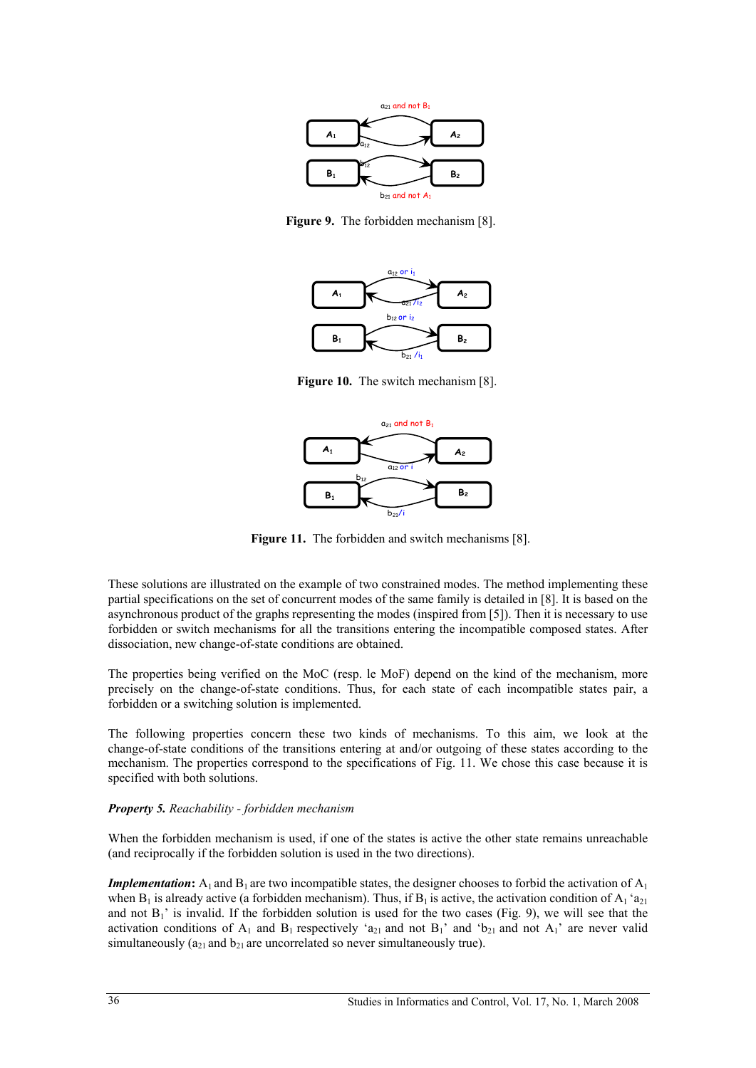

**Figure 9.** The forbidden mechanism [8].



**Figure 10.** The switch mechanism [8].



Figure 11. The forbidden and switch mechanisms [8].

These solutions are illustrated on the example of two constrained modes. The method implementing these partial specifications on the set of concurrent modes of the same family is detailed in [8]. It is based on the asynchronous product of the graphs representing the modes (inspired from [5]). Then it is necessary to use forbidden or switch mechanisms for all the transitions entering the incompatible composed states. After dissociation, new change-of-state conditions are obtained.

The properties being verified on the MoC (resp. le MoF) depend on the kind of the mechanism, more precisely on the change-of-state conditions. Thus, for each state of each incompatible states pair, a forbidden or a switching solution is implemented.

The following properties concern these two kinds of mechanisms. To this aim, we look at the change-of-state conditions of the transitions entering at and/or outgoing of these states according to the mechanism. The properties correspond to the specifications of Fig. 11. We chose this case because it is specified with both solutions.

### *Property 5. Reachability - forbidden mechanism*

When the forbidden mechanism is used, if one of the states is active the other state remains unreachable (and reciprocally if the forbidden solution is used in the two directions).

*Implementation*:  $A_1$  and  $B_1$  are two incompatible states, the designer chooses to forbid the activation of  $A_1$ when  $B_1$  is already active (a forbidden mechanism). Thus, if  $B_1$  is active, the activation condition of  $A_1$  'a<sub>21</sub> and not  $B_1$ ' is invalid. If the forbidden solution is used for the two cases (Fig. 9), we will see that the activation conditions of  $A_1$  and  $B_1$  respectively 'a<sub>21</sub> and not  $B_1$ ' and 'b<sub>21</sub> and not  $A_1$ ' are never valid simultaneously ( $a_{21}$  and  $b_{21}$  are uncorrelated so never simultaneously true).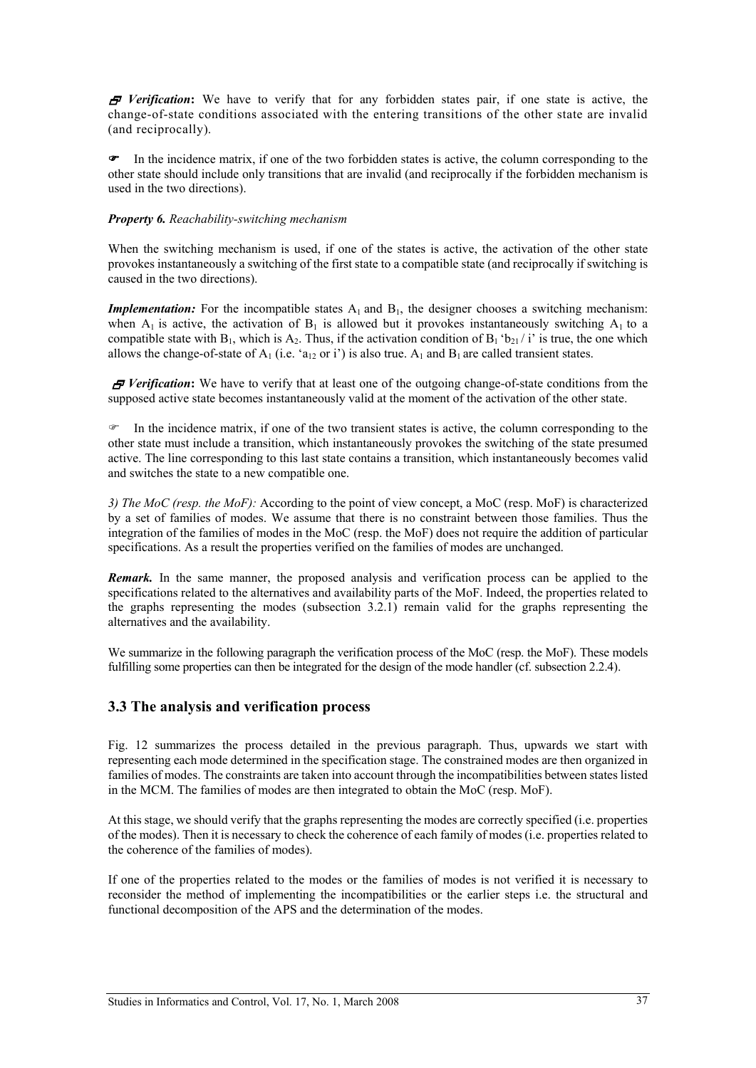*F* Verification: We have to verify that for any forbidden states pair, if one state is active, the change-of-state conditions associated with the entering transitions of the other state are invalid (and reciprocally).

• In the incidence matrix, if one of the two forbidden states is active, the column corresponding to the other state should include only transitions that are invalid (and reciprocally if the forbidden mechanism is used in the two directions).

#### *Property 6. Reachability-switching mechanism*

When the switching mechanism is used, if one of the states is active, the activation of the other state provokes instantaneously a switching of the first state to a compatible state (and reciprocally if switching is caused in the two directions).

*Implementation:* For the incompatible states  $A_1$  and  $B_1$ , the designer chooses a switching mechanism: when  $A_1$  is active, the activation of  $B_1$  is allowed but it provokes instantaneously switching  $A_1$  to a compatible state with  $B_1$ , which is  $A_2$ . Thus, if the activation condition of  $B_1$  'b<sub>21</sub> / i' is true, the one which allows the change-of-state of  $A_1$  (i.e. 'a<sub>12</sub> or i') is also true.  $A_1$  and  $B_1$  are called transient states.

*F* Verification: We have to verify that at least one of the outgoing change-of-state conditions from the supposed active state becomes instantaneously valid at the moment of the activation of the other state.

 $\blacktriangleright$  In the incidence matrix, if one of the two transient states is active, the column corresponding to the other state must include a transition, which instantaneously provokes the switching of the state presumed active. The line corresponding to this last state contains a transition, which instantaneously becomes valid and switches the state to a new compatible one.

*3) The MoC (resp. the MoF):* According to the point of view concept, a MoC (resp. MoF) is characterized by a set of families of modes. We assume that there is no constraint between those families. Thus the integration of the families of modes in the MoC (resp. the MoF) does not require the addition of particular specifications. As a result the properties verified on the families of modes are unchanged.

*Remark.* In the same manner, the proposed analysis and verification process can be applied to the specifications related to the alternatives and availability parts of the MoF. Indeed, the properties related to the graphs representing the modes (subsection 3.2.1) remain valid for the graphs representing the alternatives and the availability.

We summarize in the following paragraph the verification process of the MoC (resp. the MoF). These models fulfilling some properties can then be integrated for the design of the mode handler (cf. subsection 2.2.4).

### **3.3 The analysis and verification process**

Fig. 12 summarizes the process detailed in the previous paragraph. Thus, upwards we start with representing each mode determined in the specification stage. The constrained modes are then organized in families of modes. The constraints are taken into account through the incompatibilities between states listed in the MCM. The families of modes are then integrated to obtain the MoC (resp. MoF).

At this stage, we should verify that the graphs representing the modes are correctly specified (i.e. properties of the modes). Then it is necessary to check the coherence of each family of modes (i.e. properties related to the coherence of the families of modes).

If one of the properties related to the modes or the families of modes is not verified it is necessary to reconsider the method of implementing the incompatibilities or the earlier steps i.e. the structural and functional decomposition of the APS and the determination of the modes.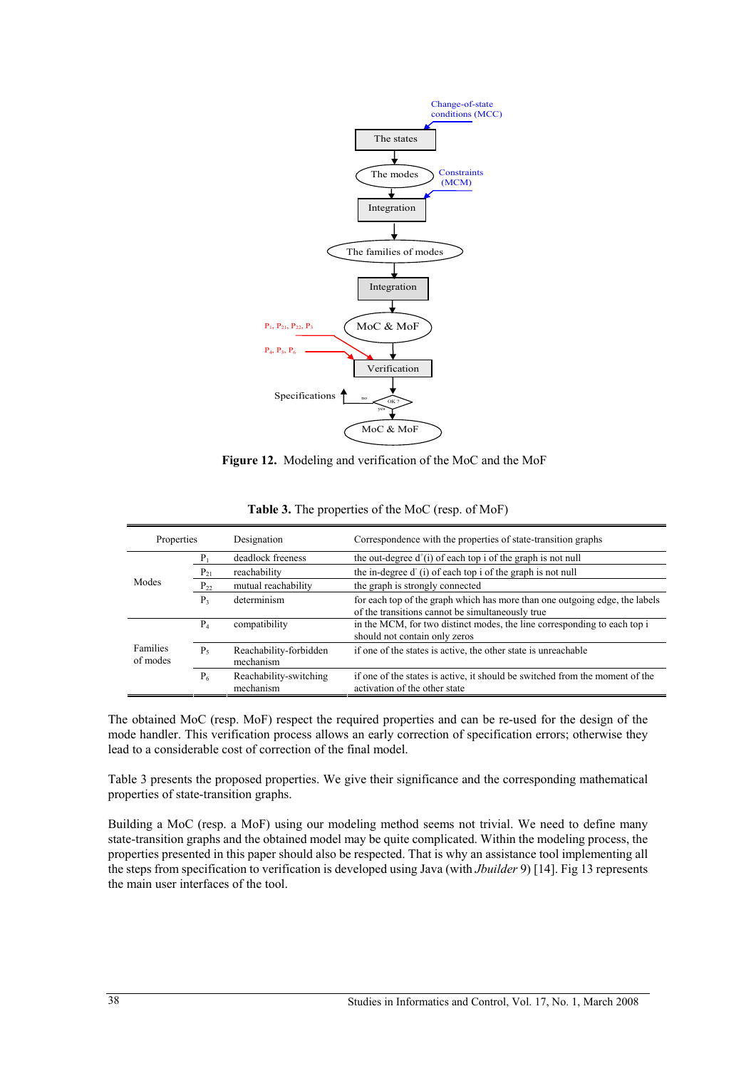

**Figure 12.** Modeling and verification of the MoC and the MoF

| Properties           |                | Designation                         | Correspondence with the properties of state-transition graphs                                                                   |  |  |  |
|----------------------|----------------|-------------------------------------|---------------------------------------------------------------------------------------------------------------------------------|--|--|--|
|                      | $P_1$          | deadlock freeness                   | the out-degree $d^+(i)$ of each top i of the graph is not null                                                                  |  |  |  |
|                      | $P_{21}$       | reachability                        | the in-degree d'(i) of each top i of the graph is not null                                                                      |  |  |  |
| Modes                | $P_{22}$       | mutual reachability                 | the graph is strongly connected                                                                                                 |  |  |  |
|                      | P <sub>3</sub> | determinism                         | for each top of the graph which has more than one outgoing edge, the labels<br>of the transitions cannot be simultaneously true |  |  |  |
|                      | $P_4$          | compatibility                       | in the MCM, for two distinct modes, the line corresponding to each top i<br>should not contain only zeros                       |  |  |  |
| Families<br>of modes | $P_{5}$        | Reachability-forbidden<br>mechanism | if one of the states is active, the other state is unreachable                                                                  |  |  |  |
|                      | $P_6$          | Reachability-switching<br>mechanism | if one of the states is active, it should be switched from the moment of the<br>activation of the other state                   |  |  |  |
|                      |                |                                     |                                                                                                                                 |  |  |  |

|  | Table 3. The properties of the MoC (resp. of MoF) |  |  |
|--|---------------------------------------------------|--|--|
|--|---------------------------------------------------|--|--|

The obtained MoC (resp. MoF) respect the required properties and can be re-used for the design of the mode handler. This verification process allows an early correction of specification errors; otherwise they lead to a considerable cost of correction of the final model.

Table 3 presents the proposed properties. We give their significance and the corresponding mathematical properties of state-transition graphs.

Building a MoC (resp. a MoF) using our modeling method seems not trivial. We need to define many state-transition graphs and the obtained model may be quite complicated. Within the modeling process, the properties presented in this paper should also be respected. That is why an assistance tool implementing all the steps from specification to verification is developed using Java (with *Jbuilder* 9) [14]. Fig 13 represents the main user interfaces of the tool.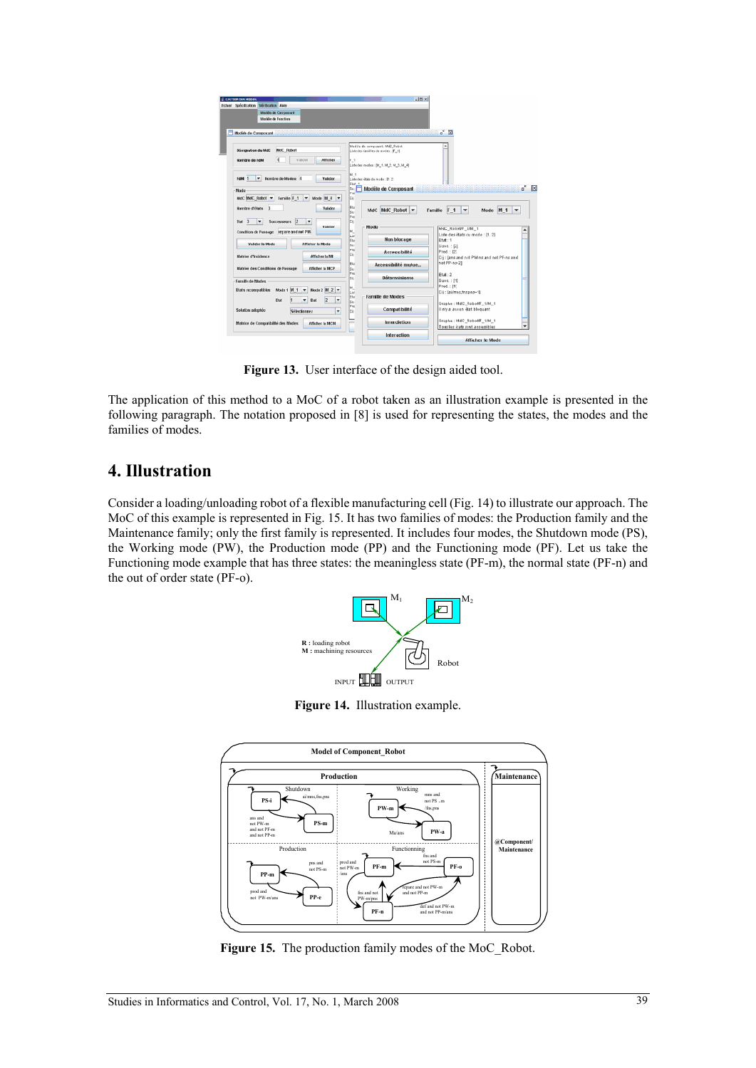| Ficher Spécification Vérfication Aide<br>Modèle de Composant                              |                                                                                             |
|-------------------------------------------------------------------------------------------|---------------------------------------------------------------------------------------------|
| Modèle de Fonction                                                                        |                                                                                             |
|                                                                                           |                                                                                             |
| Modèle de Composant                                                                       | ď<br>$\overline{\mathbf{x}}$                                                                |
|                                                                                           | Modile de composant : MdC_Robot<br>٠                                                        |
| MdC Robot<br><b>Désignation du MdC</b>                                                    | Listedes familles de mudes : [F_1]                                                          |
| 11<br>Valder<br><b>Afficher</b><br>Hombre de ram                                          | F., 1                                                                                       |
|                                                                                           | Listedes modes : [N 1, M 2, M 3, M 4]                                                       |
|                                                                                           | M 1                                                                                         |
| $\blacktriangleright$ Nombre de Modes 4<br>FdM <sub>1</sub><br>Valider                    | Liste des états du mode : [1.2]<br>Etat                                                     |
| Mode                                                                                      | Modèle de Composant<br>Su.<br>۰                                                             |
| MdC MdC Robet v<br>Famille F 1<br>Mode $M_4$ $\blacktriangledown$<br>$\blacktriangledown$ | Pre<br>Cij                                                                                  |
| Hombre d'états 3                                                                          | Eta                                                                                         |
| Valider                                                                                   | MdC MdC Robot<br>Famille F <sub>1</sub><br>$\overline{\phantom{a}}$<br>Mode M 1<br>÷<br>su. |
| $\vert$ <sub>2</sub><br>3<br>۰<br><b>Successeurs</b><br>٠<br>Etat                         | Pre<br>Cij                                                                                  |
| Valider                                                                                   | Mode<br>MdC_Robot/F_I/M_1<br>M.                                                             |
| Condition de Passage repare and nit PM                                                    | Liste des états ou mode : [1, 2]<br>шi<br><b>Non blocage</b>                                |
| Valider le Mode<br><b>Afficher le Mode</b>                                                | Etat: 1<br>Eta<br>su<br>Suec.: [2]                                                          |
|                                                                                           | <b>Pre</b><br>Pred.: [2]<br><b>Accessibilité</b>                                            |
| Matrixe d'Incidence<br>Afficher la MI                                                     | ļсij<br>Cij : [ans and nxt PM-ns and not PF-ns and                                          |
| Matrire des Conditions de Passage<br><b>Afficher la MCP</b>                               | not PP-ns-21<br>Eta<br>Accessibilité mulue<br>su                                            |
|                                                                                           | Pre<br>Etat:2<br>Déterminisme                                                               |
| Famille de Modes                                                                          | cij<br>Succ.: [1]                                                                           |
| Mode 2 $M 2$ $\blacktriangledown$<br>Mode 1 M 1 V<br><b>Etats ncompatibles</b>            | Pred.: [1]<br>M_<br>lы<br>Cii : [ai/mas.fns.pns~1]                                          |
| $\overline{2}$<br>۰<br>Etat<br><b>Bat</b>                                                 | <b>Famille de Modes</b><br>Eta                                                              |
|                                                                                           | lsul<br>Graphe: MdC_Robo#F_4/M_4<br>Pre                                                     |
| Solution adoptée<br>$\overline{\phantom{a}}$<br>Sélectonnez                               | II n'y a ayeun état bloquant<br>Compatibilité<br>Cii                                        |
|                                                                                           | Graphe: MdC_Robot/F_1/M_1<br><b>Interdiction</b>                                            |
| Matrice de Compatibilité des Modes<br><b>Afficher la MCM</b>                              |                                                                                             |

Figure 13. User interface of the design aided tool.

The application of this method to a MoC of a robot taken as an illustration example is presented in the following paragraph. The notation proposed in [8] is used for representing the states, the modes and the families of modes.

## **4. Illustration**

Consider a loading/unloading robot of a flexible manufacturing cell (Fig. 14) to illustrate our approach. The MoC of this example is represented in Fig. 15. It has two families of modes: the Production family and the Maintenance family; only the first family is represented. It includes four modes, the Shutdown mode (PS), the Working mode (PW), the Production mode (PP) and the Functioning mode (PF). Let us take the Functioning mode example that has three states: the meaningless state (PF-m), the normal state (PF-n) and the out of order state (PF-o).



**Figure 14.** Illustration example.



Figure 15. The production family modes of the MoC\_Robot.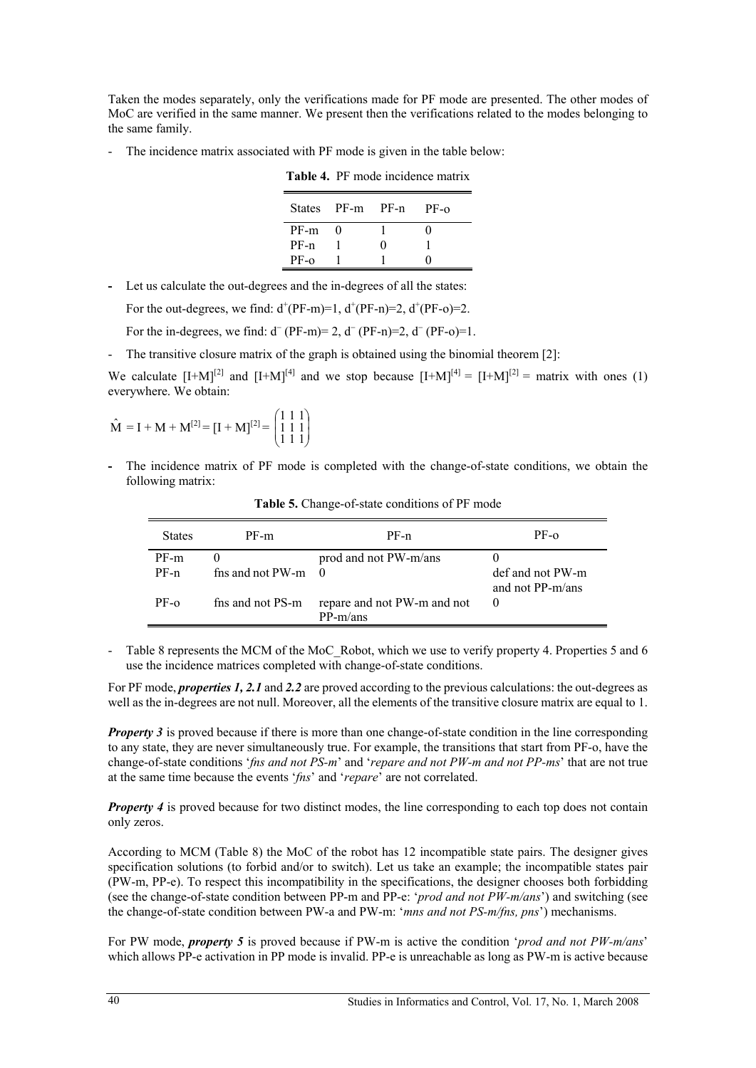Taken the modes separately, only the verifications made for PF mode are presented. The other modes of MoC are verified in the same manner. We present then the verifications related to the modes belonging to the same family.

- The incidence matrix associated with PF mode is given in the table below:

|        | States PF-m PF-n |   | $PF-O$ |
|--------|------------------|---|--------|
| PF-m   |                  |   |        |
| $PF-n$ |                  | 0 |        |
| $PF-0$ |                  |   |        |

**Table 4.** PF mode incidence matrix

**-** Let us calculate the out-degrees and the in-degrees of all the states:

For the out-degrees, we find:  $d^{+}(PF-m)=1$ ,  $d^{+}(PF-n)=2$ ,  $d^{+}(PF-o)=2$ .

For the in-degrees, we find:  $d^-(PF-m)= 2$ ,  $d^-(PF-n)=2$ ,  $d^-(PF-o)=1$ .

- The transitive closure matrix of the graph is obtained using the binomial theorem [2]:

We calculate  $[I+M]^{[2]}$  and  $[I+M]^{[4]}$  and we stop because  $[I+M]^{[4]} = [I+M]^{[2]} = \text{matrix with ones (1)}$ everywhere. We obtain:

$$
\hat{M} = I + M + M^{[2]} = [I + M]^{[2]} = \begin{pmatrix} 1 & 1 & 1 \\ 1 & 1 & 1 \\ 1 & 1 & 1 \end{pmatrix}
$$

**-** The incidence matrix of PF mode is completed with the change-of-state conditions, we obtain the following matrix:

| <b>States</b> | PF-m                    | $PF-n$                                    | $PF-0$                               |
|---------------|-------------------------|-------------------------------------------|--------------------------------------|
| $PF-m$        |                         | prod and not PW-m/ans                     |                                      |
| $PF-n$        | fns and not $PW-m \t 0$ |                                           | def and not PW-m<br>and not PP-m/ans |
| $PF-o$        | fns and not PS-m        | repare and not PW-m and not<br>$PP-m/ans$ |                                      |

**Table 5.** Change-of-state conditions of PF mode

- Table 8 represents the MCM of the MoC\_Robot, which we use to verify property 4. Properties 5 and 6 use the incidence matrices completed with change-of-state conditions.

For PF mode, *properties 1, 2.1* and *2.2* are proved according to the previous calculations: the out-degrees as well as the in-degrees are not null. Moreover, all the elements of the transitive closure matrix are equal to 1.

*Property 3* is proved because if there is more than one change-of-state condition in the line corresponding to any state, they are never simultaneously true. For example, the transitions that start from PF-o, have the change-of-state conditions '*fns and not PS-m*' and '*repare and not PW-m and not PP-ms*' that are not true at the same time because the events '*fns*' and '*repare*' are not correlated.

*Property 4* is proved because for two distinct modes, the line corresponding to each top does not contain only zeros.

According to MCM (Table 8) the MoC of the robot has 12 incompatible state pairs. The designer gives specification solutions (to forbid and/or to switch). Let us take an example; the incompatible states pair (PW-m, PP-e). To respect this incompatibility in the specifications, the designer chooses both forbidding (see the change-of-state condition between PP-m and PP-e: '*prod and not PW-m/ans*') and switching (see the change-of-state condition between PW-a and PW-m: '*mns and not PS-m/fns, pns*') mechanisms.

For PW mode, *property 5* is proved because if PW-m is active the condition '*prod and not PW-m/ans*' which allows PP-e activation in PP mode is invalid. PP-e is unreachable as long as PW-m is active because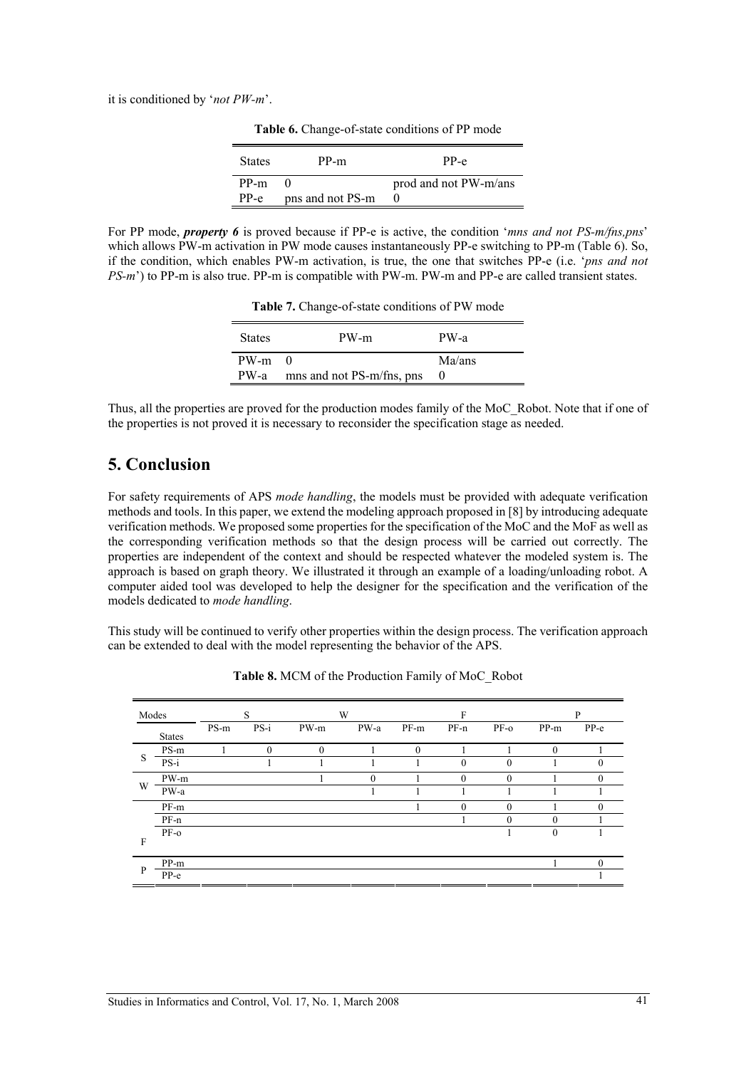it is conditioned by '*not PW-m*'.

| States | PP-m             | PP-e                  |
|--------|------------------|-----------------------|
| PP-m   |                  | prod and not PW-m/ans |
| $PP-e$ | pns and not PS-m |                       |

Table 6. Change-of-state conditions of PP mode

For PP mode, *property 6* is proved because if PP-e is active, the condition '*mns and not PS-m/fns,pns*' which allows PW-m activation in PW mode causes instantaneously PP-e switching to PP-m (Table 6). So, if the condition, which enables PW-m activation, is true, the one that switches PP-e (i.e. '*pns and not PS-m*') to PP-m is also true. PP-m is compatible with PW-m. PW-m and PP-e are called transient states.

**Table 7.** Change-of-state conditions of PW mode

| <b>States</b>          | PW-m                      | PW-a   |
|------------------------|---------------------------|--------|
| $PW-m \quad 0$<br>PW-a | mns and not PS-m/fns, pns | Ma/ans |

Thus, all the properties are proved for the production modes family of the MoC\_Robot. Note that if one of the properties is not proved it is necessary to reconsider the specification stage as needed.

# **5. Conclusion**

For safety requirements of APS *mode handling*, the models must be provided with adequate verification methods and tools. In this paper, we extend the modeling approach proposed in [8] by introducing adequate verification methods. We proposed some properties for the specification of the MoC and the MoF as well as the corresponding verification methods so that the design process will be carried out correctly. The properties are independent of the context and should be respected whatever the modeled system is. The approach is based on graph theory. We illustrated it through an example of a loading/unloading robot. A computer aided tool was developed to help the designer for the specification and the verification of the models dedicated to *mode handling*.

This study will be continued to verify other properties within the design process. The verification approach can be extended to deal with the model representing the behavior of the APS.

| Modes |               | S    |              |                | W        |          | F        |          |              | P        |  |
|-------|---------------|------|--------------|----------------|----------|----------|----------|----------|--------------|----------|--|
|       | <b>States</b> | PS-m | $PS-i$       | PW-m           | PW-a     | PF-m     | PF-n     | PF-0     | PP-m         | PP-e     |  |
| S     | PS-m          |      | $\mathbf{0}$ | $\overline{0}$ |          | $\Omega$ |          |          | $\mathbf{0}$ |          |  |
|       | $PS-i$        |      |              |                |          |          | $\theta$ | $\theta$ |              | 0        |  |
| W     | PW-m          |      |              |                | $\theta$ |          | $\theta$ | $\Omega$ |              | 0        |  |
|       | PW-a          |      |              |                |          |          |          |          |              |          |  |
|       | PF-m          |      |              |                |          |          | $\theta$ | $\theta$ |              | 0        |  |
|       | $PF-n$        |      |              |                |          |          |          | 0        | $\theta$     |          |  |
|       | PF-0          |      |              |                |          |          |          |          | $\mathbf{0}$ |          |  |
| F     |               |      |              |                |          |          |          |          |              |          |  |
|       | PP-m          |      |              |                |          |          |          |          |              | $\Omega$ |  |
| P     | $PP-e$        |      |              |                |          |          |          |          |              |          |  |

**Table 8.** MCM of the Production Family of MoC\_Robot